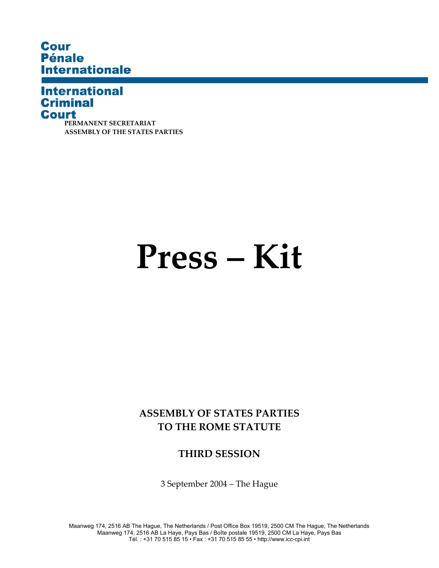# **Cour Pénale Internationale**

## **International Criminal Court**

**PERMANENT SECRETARIAT ASSEMBLY OF THE STATES PARTIES** 

# **Press – Kit**

**ASSEMBLY OF STATES PARTIES TO THE ROME STATUTE** 

**THIRD SESSION** 

3 September 2004 – The Hague

Maanweg 174, 2516 AB The Hague, The Netherlands / Post Office Box 19519, 2500 CM The Hague, The Netherlands Maanweg 174, 2516 AB La Haye, Pays Bas / Boîte postale 19519, 2500 CM La Haye, Pays Bas Tél. : +31 70 515 85 15 • Fax : +31 70 515 85 55 • http://www.icc-cpi.int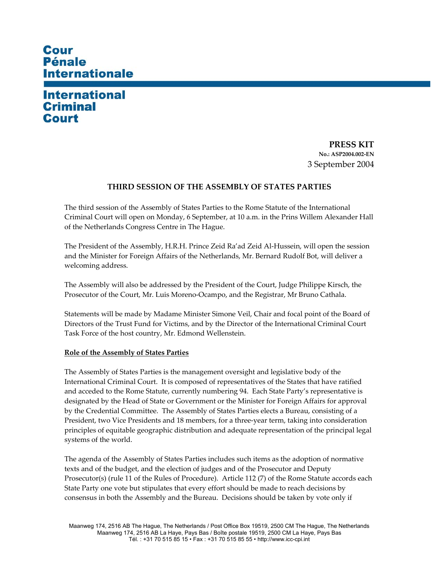# **Cour Pénale Internationale**

# **International Criminal** Court

**PRESS KIT No.: ASP2004.002-EN**  3 September 2004

#### **THIRD SESSION OF THE ASSEMBLY OF STATES PARTIES**

The third session of the Assembly of States Parties to the Rome Statute of the International Criminal Court will open on Monday, 6 September, at 10 a.m. in the Prins Willem Alexander Hall of the Netherlands Congress Centre in The Hague.

The President of the Assembly, H.R.H. Prince Zeid Ra'ad Zeid Al-Hussein, will open the session and the Minister for Foreign Affairs of the Netherlands, Mr. Bernard Rudolf Bot, will deliver a welcoming address.

The Assembly will also be addressed by the President of the Court, Judge Philippe Kirsch, the Prosecutor of the Court, Mr. Luis Moreno-Ocampo, and the Registrar, Mr Bruno Cathala.

Statements will be made by Madame Minister Simone Veil, Chair and focal point of the Board of Directors of the Trust Fund for Victims, and by the Director of the International Criminal Court Task Force of the host country, Mr. Edmond Wellenstein.

#### **Role of the Assembly of States Parties**

The Assembly of States Parties is the management oversight and legislative body of the International Criminal Court. It is composed of representatives of the States that have ratified and acceded to the Rome Statute, currently numbering 94. Each State Party's representative is designated by the Head of State or Government or the Minister for Foreign Affairs for approval by the Credential Committee. The Assembly of States Parties elects a Bureau, consisting of a President, two Vice Presidents and 18 members, for a three-year term, taking into consideration principles of equitable geographic distribution and adequate representation of the principal legal systems of the world.

The agenda of the Assembly of States Parties includes such items as the adoption of normative texts and of the budget, and the election of judges and of the Prosecutor and Deputy Prosecutor(s) (rule 11 of the Rules of Procedure). Article 112 (7) of the Rome Statute accords each State Party one vote but stipulates that every effort should be made to reach decisions by consensus in both the Assembly and the Bureau. Decisions should be taken by vote only if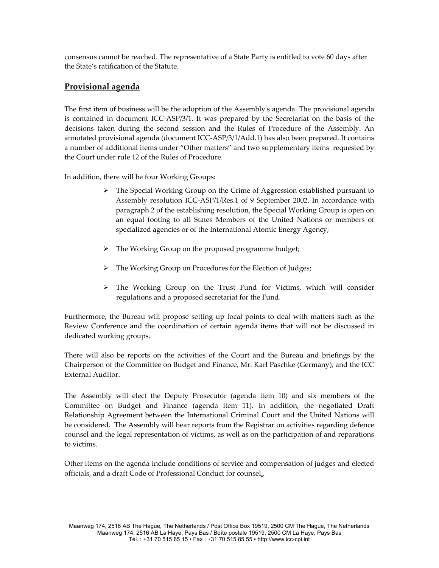consensus cannot be reached. The representative of a State Party is entitled to vote 60 days after the State's ratification of the Statute.

## **Provisional agenda**

The first item of business will be the adoption of the Assemblyʹs agenda. The provisional agenda is contained in document ICC-ASP/3/1. It was prepared by the Secretariat on the basis of the decisions taken during the second session and the Rules of Procedure of the Assembly. An annotated provisional agenda (document ICC-ASP/3/1/Add.1) has also been prepared. It contains a number of additional items under "Other matters" and two supplementary items requested by the Court under rule 12 of the Rules of Procedure.

In addition, there will be four Working Groups:

- $\triangleright$  The Special Working Group on the Crime of Aggression established pursuant to Assembly resolution ICC-ASP/1/Res.1 of 9 September 2002. In accordance with paragraph 2 of the establishing resolution, the Special Working Group is open on an equal footing to all States Members of the United Nations or members of specialized agencies or of the International Atomic Energy Agency;
- ¾ The Working Group on the proposed programme budget;
- ¾ The Working Group on Procedures for the Election of Judges;
- $\triangleright$  The Working Group on the Trust Fund for Victims, which will consider regulations and a proposed secretariat for the Fund.

Furthermore, the Bureau will propose setting up focal points to deal with matters such as the Review Conference and the coordination of certain agenda items that will not be discussed in dedicated working groups.

There will also be reports on the activities of the Court and the Bureau and briefings by the Chairperson of the Committee on Budget and Finance, Mr. Karl Paschke (Germany), and the ICC External Auditor.

The Assembly will elect the Deputy Prosecutor (agenda item 10) and six members of the Committee on Budget and Finance (agenda item 11). In addition, the negotiated Draft Relationship Agreement between the International Criminal Court and the United Nations will be considered. The Assembly will hear reports from the Registrar on activities regarding defence counsel and the legal representation of victims, as well as on the participation of and reparations to victims.

Other items on the agenda include conditions of service and compensation of judges and elected officials, and a draft Code of Professional Conduct for counsel..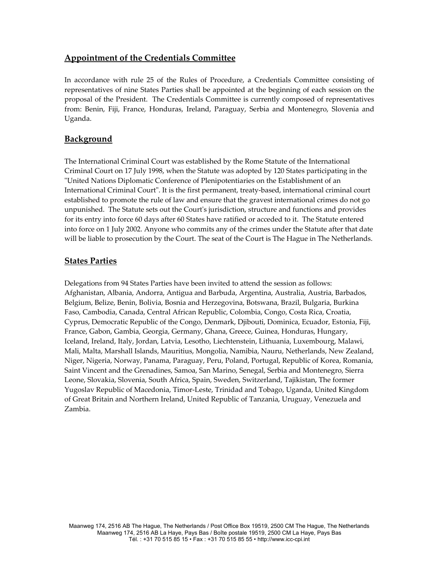## **Appointment of the Credentials Committee**

In accordance with rule 25 of the Rules of Procedure, a Credentials Committee consisting of representatives of nine States Parties shall be appointed at the beginning of each session on the proposal of the President. The Credentials Committee is currently composed of representatives from: Benin, Fiji, France, Honduras, Ireland, Paraguay, Serbia and Montenegro, Slovenia and Uganda.

## **Background**

The International Criminal Court was established by the Rome Statute of the International Criminal Court on 17 July 1998, when the Statute was adopted by 120 States participating in the ʺUnited Nations Diplomatic Conference of Plenipotentiaries on the Establishment of an International Criminal Court". It is the first permanent, treaty-based, international criminal court established to promote the rule of law and ensure that the gravest international crimes do not go unpunished. The Statute sets out the Courtʹs jurisdiction, structure and functions and provides for its entry into force 60 days after 60 States have ratified or acceded to it. The Statute entered into force on 1 July 2002. Anyone who commits any of the crimes under the Statute after that date will be liable to prosecution by the Court. The seat of the Court is The Hague in The Netherlands.

## **States Parties**

Delegations from 94 States Parties have been invited to attend the session as follows: Afghanistan, Albania, Andorra, Antigua and Barbuda, Argentina, Australia, Austria, Barbados, Belgium, Belize, Benin, Bolivia, Bosnia and Herzegovina, Botswana, Brazil, Bulgaria, Burkina Faso, Cambodia, Canada, Central African Republic, Colombia, Congo, Costa Rica, Croatia, Cyprus, Democratic Republic of the Congo, Denmark, Djibouti, Dominica, Ecuador, Estonia, Fiji, France, Gabon, Gambia, Georgia, Germany, Ghana, Greece, Guinea, Honduras, Hungary, Iceland, Ireland, Italy, Jordan, Latvia, Lesotho, Liechtenstein, Lithuania, Luxembourg, Malawi, Mali, Malta, Marshall Islands, Mauritius, Mongolia, Namibia, Nauru, Netherlands, New Zealand, Niger, Nigeria, Norway, Panama, Paraguay, Peru, Poland, Portugal, Republic of Korea, Romania, Saint Vincent and the Grenadines, Samoa, San Marino, Senegal, Serbia and Montenegro, Sierra Leone, Slovakia, Slovenia, South Africa, Spain, Sweden, Switzerland, Tajikistan, The former Yugoslav Republic of Macedonia, Timor-Leste, Trinidad and Tobago, Uganda, United Kingdom of Great Britain and Northern Ireland, United Republic of Tanzania, Uruguay, Venezuela and Zambia.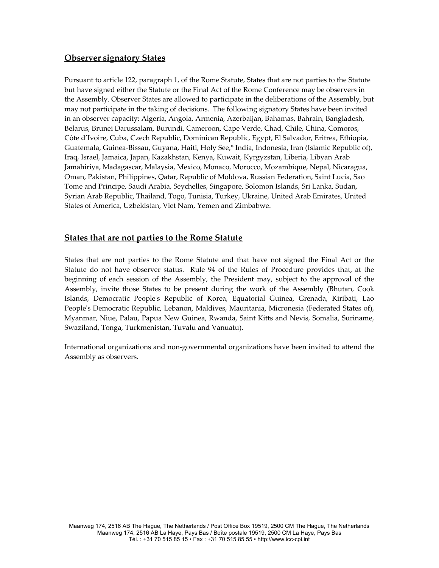## **Observer signatory States**

Pursuant to article 122, paragraph 1, of the Rome Statute, States that are not parties to the Statute but have signed either the Statute or the Final Act of the Rome Conference may be observers in the Assembly. Observer States are allowed to participate in the deliberations of the Assembly, but may not participate in the taking of decisions. The following signatory States have been invited in an observer capacity: Algeria, Angola, Armenia, Azerbaijan, Bahamas, Bahrain, Bangladesh, Belarus, Brunei Darussalam, Burundi, Cameroon, Cape Verde, Chad, Chile, China, Comoros, Côte d'Ivoire, Cuba, Czech Republic, Dominican Republic, Egypt, El Salvador, Eritrea, Ethiopia, Guatemala, Guinea-Bissau, Guyana, Haiti, Holy See,\* India, Indonesia, Iran (Islamic Republic of), Iraq, Israel, Jamaica, Japan, Kazakhstan, Kenya, Kuwait, Kyrgyzstan, Liberia, Libyan Arab Jamahiriya, Madagascar, Malaysia, Mexico, Monaco, Morocco, Mozambique, Nepal, Nicaragua, Oman, Pakistan, Philippines, Qatar, Republic of Moldova, Russian Federation, Saint Lucia, Sao Tome and Principe, Saudi Arabia, Seychelles, Singapore, Solomon Islands, Sri Lanka, Sudan, Syrian Arab Republic, Thailand, Togo, Tunisia, Turkey, Ukraine, United Arab Emirates, United States of America, Uzbekistan, Viet Nam, Yemen and Zimbabwe.

#### **States that are not parties to the Rome Statute**

States that are not parties to the Rome Statute and that have not signed the Final Act or the Statute do not have observer status. Rule 94 of the Rules of Procedure provides that, at the beginning of each session of the Assembly, the President may, subject to the approval of the Assembly, invite those States to be present during the work of the Assembly (Bhutan, Cook Islands, Democratic Peopleʹs Republic of Korea, Equatorial Guinea, Grenada, Kiribati, Lao People's Democratic Republic, Lebanon, Maldives, Mauritania, Micronesia (Federated States of), Myanmar, Niue, Palau, Papua New Guinea, Rwanda, Saint Kitts and Nevis, Somalia, Suriname, Swaziland, Tonga, Turkmenistan, Tuvalu and Vanuatu).

International organizations and non-governmental organizations have been invited to attend the Assembly as observers.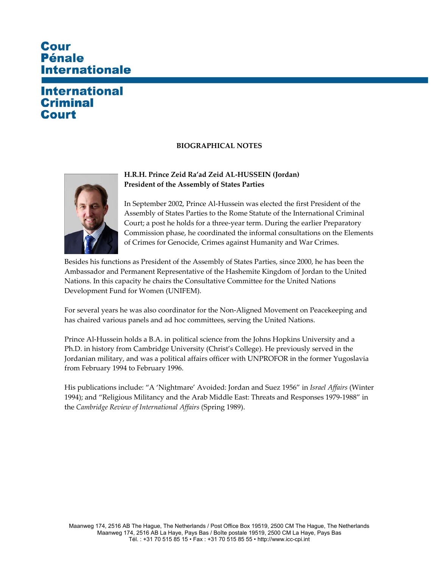# **Cour Pénale Internationale**

# **International Criminal** Court

### **BIOGRAPHICAL NOTES**



### **H.R.H. Prince Zeid Ra'ad Zeid AL-HUSSEIN (Jordan) President of the Assembly of States Parties**

In September 2002, Prince Al-Hussein was elected the first President of the Assembly of States Parties to the Rome Statute of the International Criminal Court; a post he holds for a three-year term. During the earlier Preparatory Commission phase, he coordinated the informal consultations on the Elements of Crimes for Genocide, Crimes against Humanity and War Crimes.

Besides his functions as President of the Assembly of States Parties, since 2000, he has been the Ambassador and Permanent Representative of the Hashemite Kingdom of Jordan to the United Nations. In this capacity he chairs the Consultative Committee for the United Nations Development Fund for Women (UNIFEM).

For several years he was also coordinator for the Non-Aligned Movement on Peacekeeping and has chaired various panels and ad hoc committees, serving the United Nations.

Prince Al-Hussein holds a B.A. in political science from the Johns Hopkins University and a Ph.D. in history from Cambridge University (Christ's College). He previously served in the Jordanian military, and was a political affairs officer with UNPROFOR in the former Yugoslavia from February 1994 to February 1996.

His publications include: "A 'Nightmare' Avoided: Jordan and Suez 1956" in *Israel Affairs* (Winter 1994); and "Religious Militancy and the Arab Middle East: Threats and Responses 1979-1988" in the *Cambridge Review of International Affairs* (Spring 1989).